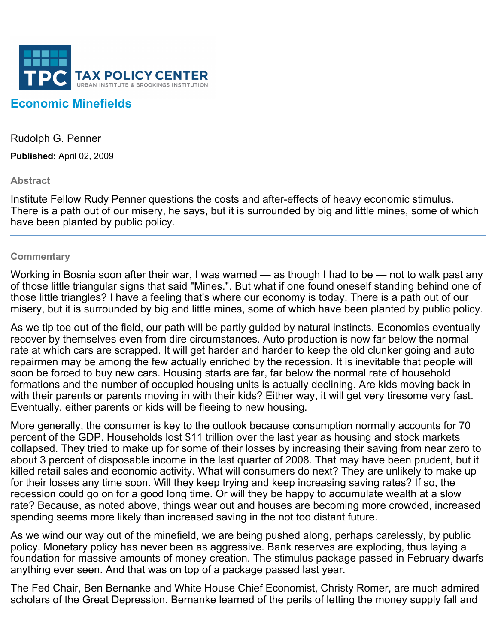

## **Economic Minefields**

Rudolph G. Penner

**Published:** April 02, 2009

## **Abstract**

Institute Fellow Rudy Penner questions the costs and after-effects of heavy economic stimulus. There is a path out of our misery, he says, but it is surrounded by big and little mines, some of which have been planted by public policy.

## **Commentary**

Working in Bosnia soon after their war, I was warned — as though I had to be — not to walk past any of those little triangular signs that said "Mines.". But what if one found oneself standing behind one of those little triangles? I have a feeling that's where our economy is today. There is a path out of our misery, but it is surrounded by big and little mines, some of which have been planted by public policy.

As we tip toe out of the field, our path will be partly guided by natural instincts. Economies eventually recover by themselves even from dire circumstances. Auto production is now far below the normal rate at which cars are scrapped. It will get harder and harder to keep the old clunker going and auto repairmen may be among the few actually enriched by the recession. It is inevitable that people will soon be forced to buy new cars. Housing starts are far, far below the normal rate of household formations and the number of occupied housing units is actually declining. Are kids moving back in with their parents or parents moving in with their kids? Either way, it will get very tiresome very fast. Eventually, either parents or kids will be fleeing to new housing.

More generally, the consumer is key to the outlook because consumption normally accounts for 70 percent of the GDP. Households lost \$11 trillion over the last year as housing and stock markets collapsed. They tried to make up for some of their losses by increasing their saving from near zero to about 3 percent of disposable income in the last quarter of 2008. That may have been prudent, but it killed retail sales and economic activity. What will consumers do next? They are unlikely to make up for their losses any time soon. Will they keep trying and keep increasing saving rates? If so, the recession could go on for a good long time. Or will they be happy to accumulate wealth at a slow rate? Because, as noted above, things wear out and houses are becoming more crowded, increased spending seems more likely than increased saving in the not too distant future.

As we wind our way out of the minefield, we are being pushed along, perhaps carelessly, by public policy. Monetary policy has never been as aggressive. Bank reserves are exploding, thus laying a foundation for massive amounts of money creation. The stimulus package passed in February dwarfs anything ever seen. And that was on top of a package passed last year.

The Fed Chair, Ben Bernanke and White House Chief Economist, Christy Romer, are much admired scholars of the Great Depression. Bernanke learned of the perils of letting the money supply fall and